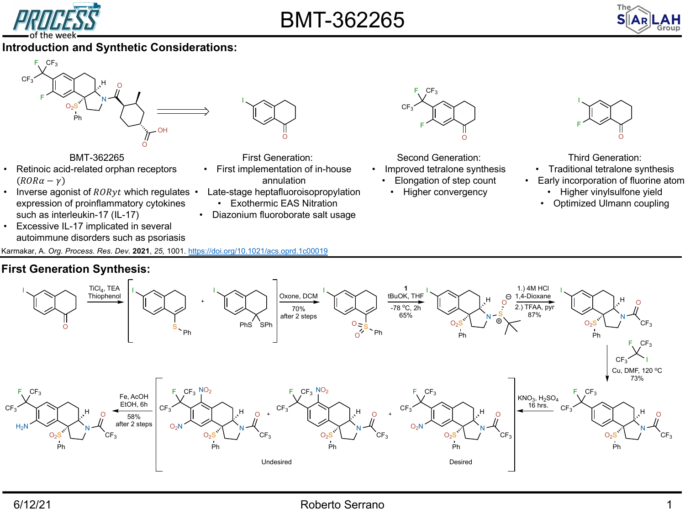

# [BMT-](https://doi.org/10.1021/acs.oprd.1c00019)362265

### **Introduction and Synthetic Considerations:**





BMT-362265

- Retinoic acid-related orphan receptors  $(ROR\alpha-\gamma)$
- Inverse agonist of  $RORyt$  which regulates expression of proinflammatory cytokines such as interleukin-17 (IL-17)
- Excessive IL-17 implicated in several autoimmune disorders such as psoriasis
- First Generation:
- First implementation of in-house annulation
- Late-stage heptafluoroisopropylation • Exothermic EAS Nitration
- Diazonium fluoroborate salt usage



Second Generation:

- Improved tetralone synthesis
	- Elongation of step count
	- Higher convergency

Thi **Tradition** 

I

F

- Early incor
- **Higher**
- Optimi:

Karmakar, A. *Org. Process. Res. Dev.* **2021**, *25,* 1001. https://doi.org/10.1021/acs.oprd.1c00019

# **First Generation Synthesis:**



# 6/12/21 Roberto Serrano 1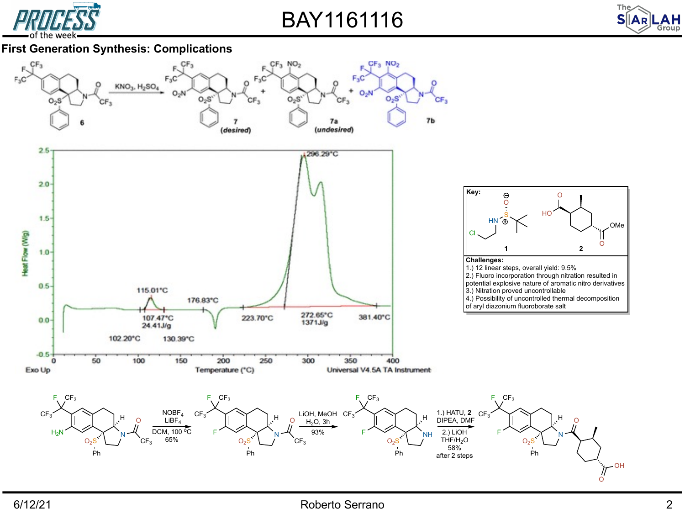

BAY1161116



#### **First Generation Synthesis: Complications**



#### 6/12/21 Roberto Serrano 2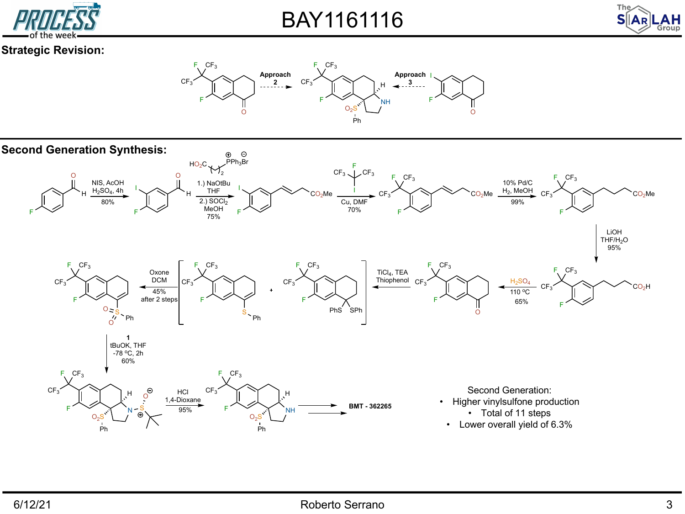

BAY1161116



## **Strategic Revision:**